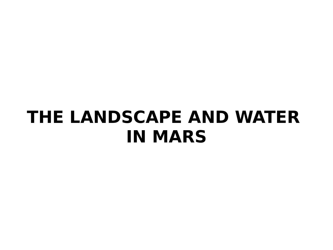#### **THE LANDSCAPE AND WATER IN MARS**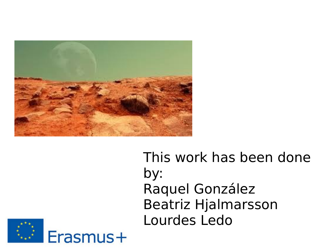

#### This work has been done by: Raquel González Beatriz Hjalmarsson Lourdes Ledo

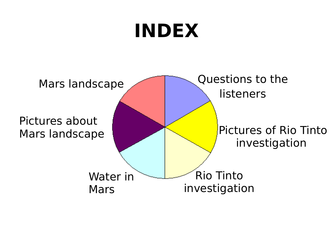## **INDEX**

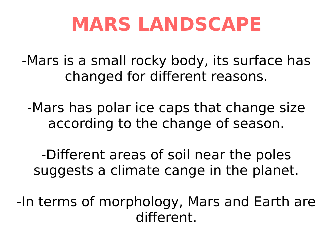## **MARS LANDSCAPE**

-Mars is a small rocky body, its surface has changed for diferent reasons.

-Mars has polar ice caps that change size according to the change of season.

-Diferent areas of soil near the poles suggests a climate cange in the planet.

-In terms of morphology, Mars and Earth are diferent.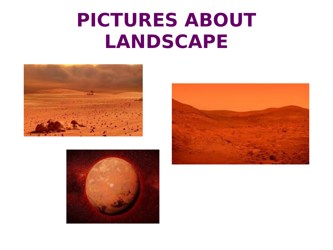## **PICTURES ABOUT LANDSCAPE**





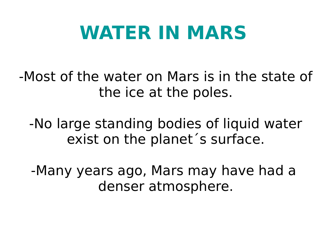## **WATER IN MARS**

-Most of the water on Mars is in the state of the ice at the poles.

-No large standing bodies of liquid water exist on the planet´s surface.

-Many years ago, Mars may have had a denser atmosphere.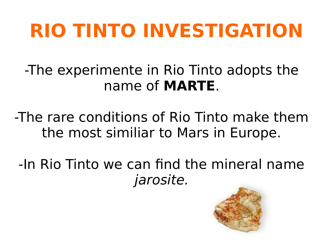# **RIO TINTO INVESTIGATION**

-The experimente in Rio Tinto adopts the name of **MARTE**.

-The rare conditions of Rio Tinto make them the most similiar to Mars in Europe.

-In Rio Tinto we can fnd the mineral name jarosite.

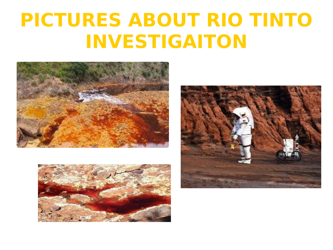## **PICTURES ABOUT RIO TINTO INVESTIGAITON**